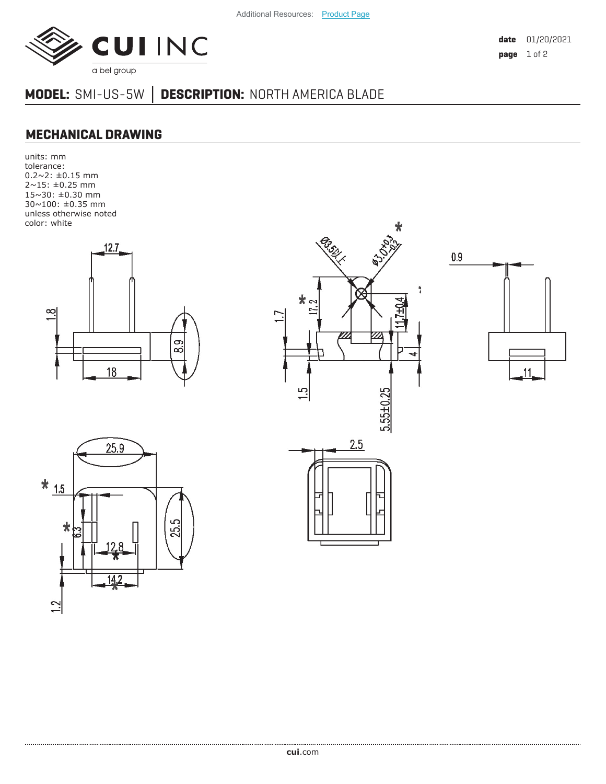

**date** 01/20/2021 **page** 1 of 2

## **MODEL:** SMI-US-5W **│ DESCRIPTION:** NORTH AMERICA BLADE

## **MECHANICAL DRAWING**

units: mm tolerance: 0.2~2: ±0.15 mm 2~15: ±0.25 mm 15~30: ±0.30 mm 30~100: ±0.35 mm unless otherwise noted color: white









**cui**[.com](https://www.cui.com/track?actionLabel=Datasheet-ClickThrough-HomePage&label=SMI-US-5W.pdf&path=/)